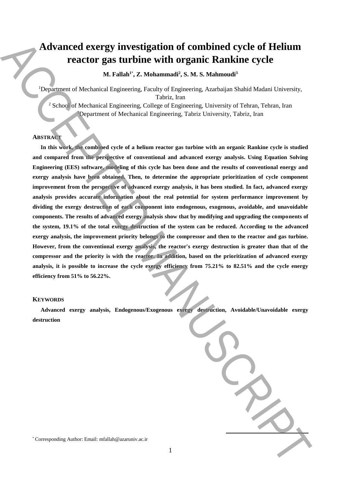# **Advanced exergy investigation of combined cycle of Helium reactor gas turbine with organic Rankine cycle**

**M. Fallah<sup>1</sup>**\* **, Z. Mohammadi<sup>2</sup> , S. M. S. Mahmoudi<sup>3</sup>**

<sup>1</sup>Department of Mechanical Engineering, Faculty of Engineering, Azarbaijan Shahid Madani University, Tabriz, Iran

<sup>2</sup> School of Mechanical Engineering, College of Engineering, University of Tehran, Tehran, Iran <sup>3</sup>Department of Mechanical Engineering, Tabriz University, Tabriz, Iran

# **ABSTRACT**

**In this work, the combined cycle of a helium reactor gas turbine with an organic Rankine cycle is studied and compared from the perspective of conventional and advanced exergy analysis. Using Equation Solving Engineering (EES) software, modeling of this cycle has been done and the results of conventional energy and exergy analysis have been obtained. Then, to determine the appropriate prioritization of cycle component improvement from the perspective of advanced exergy analysis, it has been studied. In fact, advanced exergy analysis provides accurate information about the real potential for system performance improvement by dividing the exergy destruction of each component into endogenous, exogenous, avoidable, and unavoidable components. The results of advanced exergy analysis show that by modifying and upgrading the components of the system, 19.1% of the total exergy destruction of the system can be reduced. According to the advanced exergy analysis, the improvement priority belongs to the compressor and then to the reactor and gas turbine. However, from the conventional exergy analysis, the reactor's exergy destruction is greater than that of the compressor and the priority is with the reactor. In addition, based on the prioritization of advanced exergy analysis, it is possible to increase the cycle exergy efficiency from 75.21% to 82.51% and the cycle energy efficiency from 51% to 56.22%.** Advanced exergy investigation of combined cycle of Helium<br>reactor gas turbine with organic explosive space of the main of the main of the station of the station of the station of the station of the station of the station o

## **KEYWORDS**

**Advanced exergy analysis, Endogenous/Exogenous exergy destruction, Avoidable/Unavoidable exergy destruction**

**.**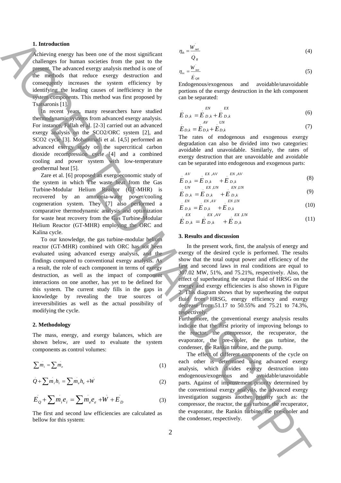## **1. Introduction**

Achieving energy has been one of the most significant challenges for human societies from the past to the present. The advanced exergy analysis method is one of the methods that reduce exergy destruction and consequently increases the system efficiency by identifying the leading causes of inefficiency in the system components. This method was first proposed by Tsatsaronis [1].

In recent years, many researchers have studied thermodynamic systems from advanced exergy analysis. For instance, Fallah et al. [2-3] carried out an advanced exergy analysis on the SCO2/ORC system [2], and SCO2 cycle [3]. Mohammadi et al. [4,5] performed an advanced exergy study on the supercritical carbon dioxide recompression cycle [4] and a combined cooling and power system with low-temperature geothermal heat [5].

Zare et al. [6] proposed an exergoeconomic study of the system in which The waste heat from the Gas Turbine-Modular Helium Reactor (GT-MHR) is recovered by an ammonia-water power/cooling cogeneration system. They [7] also performed a comparative thermodynamic analysis and optimization for waste heat recovery from the Gas Turbine-Modular Helium Reactor (GT-MHR) employing the ORC and Kalina cycle.

To our knowledge, the gas turbine-modular helium reactor (GT-MHR) combined with ORC has not been evaluated using advanced exergy analysis, and the findings compared to conventional exergy analysis. As a result, the role of each component in terms of exergy destruction, as well as the impact of component interactions on one another, has yet to be defined for this system. The current study fills in the gaps in knowledge by revealing the true sources of irreversibilities as well as the actual possibility of modifying the cycle. **1.** Interesting that the new of the pair is easy to the state of the condenser of the condenser of the condense of the condense of the condense of the condense of the condense of the condense of the condense of the conde

#### **2. Methodology**

The mass, energy, and exergy balances, which are shown below, are used to evaluate the system components as control volumes:

$$
\sum m_i = \sum m_e \tag{1}
$$

$$
Q + \sum m_i h_i = \sum m_e h_e + W \tag{2}
$$

$$
E_{Q} + \sum m_{i} e_{i} = \sum m_{e} e_{e} + W + E_{D}
$$
 (3)

The first and second law efficiencies are calculated as bellow for this system:

$$
\eta_{\scriptscriptstyle th} = \frac{W_{\scriptscriptstyle net}}{Q_{\scriptscriptstyle R}}\tag{4}
$$

$$
\eta_{ex} = \frac{W_{net}}{\dot{E}_{QR}}
$$
\n(5)

Endogenous/exogenous and avoidable/unavoidable portions of the exergy destruction in the kth component can be separated:

$$
E_{D,k} = E_{D,k} + E_{D,k}
$$
 (6)

$$
E_{D,k} = E_{D,k} + E_{D,k}
$$
 (7)

The rates of endogenous and exogenous exergy degradation can also be divided into two categories: avoidable and unavoidable. Similarly, the rates of exergy destruction that are unavoidable and avoidable can be separated into endogenous and exogenous parts:

$$
E_{D,k} = E_{D,k}^{EX,AV} + E_{D,k}
$$
 (8)

$$
E_{D,k}^{UN} = E_{D,k}^{EX,UN} + E_{D,k}^{EN,UN}
$$
\n(9)

$$
E_{D,k} = E_{D,k} + E_{D,k}
$$
 (10)

$$
E X = E X, A V = E X, UN
$$
  
\n
$$
E_{D,k} = E_{D,k} + E_{D,k}
$$
\n(11)

#### **3. Results and discussion**

In the present work, first, the analysis of energy and exergy of the desired cycle is performed. The results show that the total output power and efficiency of the first and second laws in real conditions are equal to 307.02 MW, 51%, and 75.21%, respectively. Also, the effect of superheating the output fluid of HRSG on the energy and exergy efficiencies is also shown in Figure 2. This diagram shows that by superheating the output fluid from HRSG, energy efficiency and exergy decrease from 51.17 to 50.55% and 75.21 to 74.3%, respectively.

Furthermore, the conventional exergy analysis results indicate that the first priority of improving belongs to the reactor, the compressor, the recuperator, the evaporator, the pre-cooler, the gas turbine, the condenser, the Rankin turbine, and the pump.

The effect of different components of the cycle on each other is determined using advanced exergy analysis, which divides exergy destruction into endogenous/exogenous and avoidable/unavoidable parts. Against of improvement priority determined by the conventional exergy analysis, the advanced exergy investigation suggests another priority such as: the compressor, the reactor, the gas turbine, the recuperator, the evaporator, the Rankin turbine, the pre-cooler and